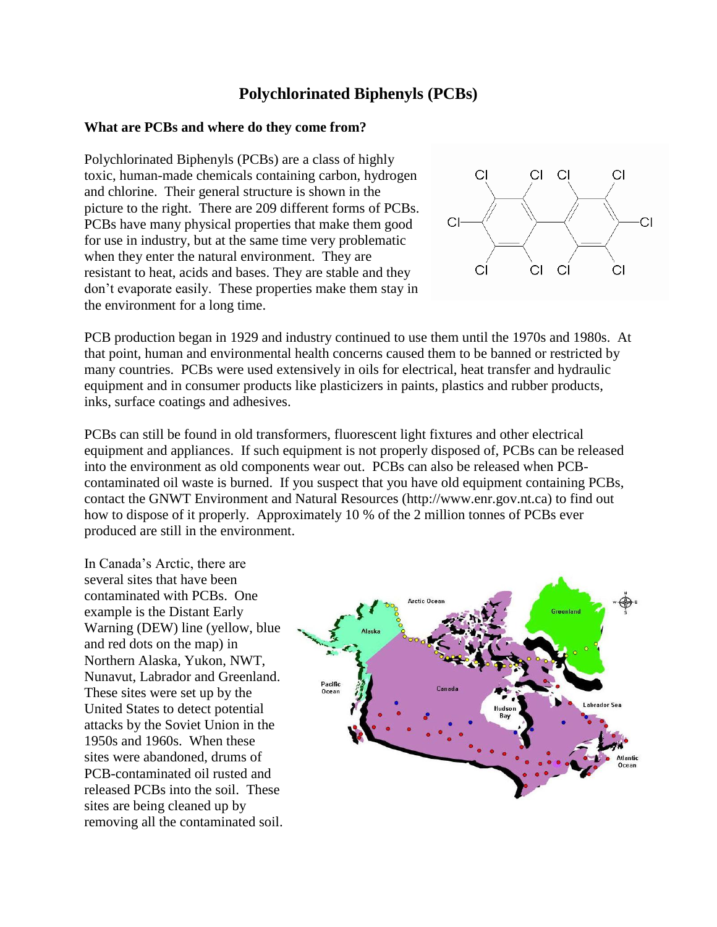## **[Polychlorinated Biphenyls](http://www.greenfacts.org/glossary/pqrs/pcbs-polychlorinated-biphenyls.htm) (PCBs)**

## **What are PCBs and where do they come from?**

Polychlorinated Biphenyls (PCBs) are a class of highly toxic, human-made chemicals containing carbon, hydrogen and chlorine. Their general structure is shown in the picture to the right. There are 209 different forms of PCBs. PCBs have many physical properties that make them good for use in industry, but at the same time very problematic when they enter the natural environment. They are resistant to heat, acids and bases. They are stable and they don't evaporate easily. These properties make them stay in the environment for a long time.



PCB production began in 1929 and industry continued to use them until the 1970s and 1980s. At that point, human and environmental health concerns caused them to be banned or restricted by many countries. PCBs were used extensively in oils for electrical, heat transfer and hydraulic equipment and in consumer products like plasticizers in paints, plastics and rubber products, inks, surface coatings and adhesives.

PCBs can still be found in old transformers, fluorescent light fixtures and other electrical equipment and appliances. If such equipment is not properly disposed of, PCBs can be released into the environment as old components wear out. PCBs can also be released when PCBcontaminated oil waste is burned. If you suspect that you have old equipment containing PCBs, contact the GNWT Environment and Natural Resources (http://www.enr.gov.nt.ca) to find out how to dispose of it properly. Approximately 10 % of the 2 million tonnes of PCBs ever produced are still in the environment.

In Canada's Arctic, there are several sites that have been contaminated with PCBs. One example is the Distant Early Warning (DEW) line (yellow, blue and red dots on the map) in Northern Alaska, Yukon, NWT, Nunavut, Labrador and Greenland. These sites were set up by the United States to detect potential attacks by the Soviet Union in the 1950s and 1960s. When these sites were abandoned, drums of PCB-contaminated oil rusted and released PCBs into the soil. These sites are being cleaned up by removing all the contaminated soil.